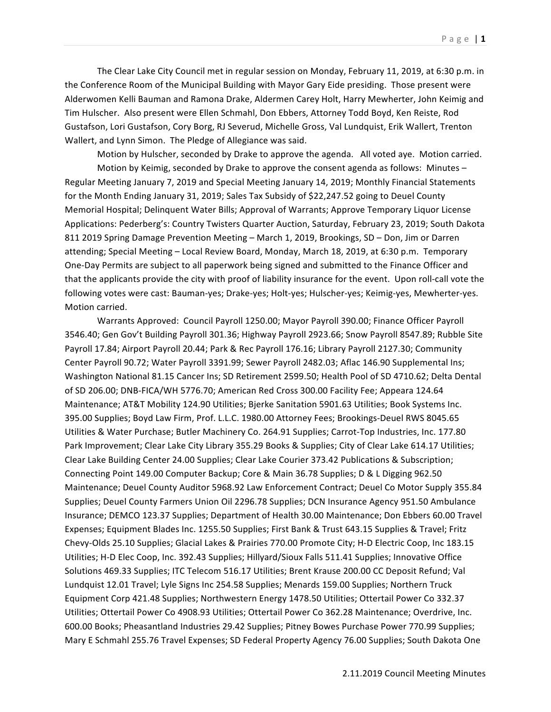The Clear Lake City Council met in regular session on Monday, February 11, 2019, at 6:30 p.m. in the Conference Room of the Municipal Building with Mayor Gary Eide presiding. Those present were Alderwomen Kelli Bauman and Ramona Drake, Aldermen Carey Holt, Harry Mewherter, John Keimig and Tim Hulscher. Also present were Ellen Schmahl, Don Ebbers, Attorney Todd Boyd, Ken Reiste, Rod Gustafson, Lori Gustafson, Cory Borg, RJ Severud, Michelle Gross, Val Lundquist, Erik Wallert, Trenton Wallert, and Lynn Simon. The Pledge of Allegiance was said.

Motion by Hulscher, seconded by Drake to approve the agenda. All voted aye. Motion carried. Motion by Keimig, seconded by Drake to approve the consent agenda as follows: Minutes  $-$ Regular Meeting January 7, 2019 and Special Meeting January 14, 2019; Monthly Financial Statements for the Month Ending January 31, 2019; Sales Tax Subsidy of \$22,247.52 going to Deuel County Memorial Hospital; Delinquent Water Bills; Approval of Warrants; Approve Temporary Liquor License Applications: Pederberg's: Country Twisters Quarter Auction, Saturday, February 23, 2019; South Dakota 811 2019 Spring Damage Prevention Meeting – March 1, 2019, Brookings, SD – Don, Jim or Darren attending; Special Meeting - Local Review Board, Monday, March 18, 2019, at 6:30 p.m. Temporary One-Day Permits are subject to all paperwork being signed and submitted to the Finance Officer and that the applicants provide the city with proof of liability insurance for the event. Upon roll-call vote the following votes were cast: Bauman-yes; Drake-yes; Holt-yes; Hulscher-yes; Keimig-yes, Mewherter-yes. Motion carried.

Warrants Approved: Council Payroll 1250.00; Mayor Payroll 390.00; Finance Officer Payroll 3546.40; Gen Gov't Building Payroll 301.36; Highway Payroll 2923.66; Snow Payroll 8547.89; Rubble Site Payroll 17.84; Airport Payroll 20.44; Park & Rec Payroll 176.16; Library Payroll 2127.30; Community Center Payroll 90.72; Water Payroll 3391.99; Sewer Payroll 2482.03; Aflac 146.90 Supplemental Ins; Washington National 81.15 Cancer Ins; SD Retirement 2599.50; Health Pool of SD 4710.62; Delta Dental of SD 206.00; DNB-FICA/WH 5776.70; American Red Cross 300.00 Facility Fee; Appeara 124.64 Maintenance; AT&T Mobility 124.90 Utilities; Bjerke Sanitation 5901.63 Utilities; Book Systems Inc. 395.00 Supplies; Boyd Law Firm, Prof. L.L.C. 1980.00 Attorney Fees; Brookings-Deuel RWS 8045.65 Utilities & Water Purchase; Butler Machinery Co. 264.91 Supplies; Carrot-Top Industries, Inc. 177.80 Park Improvement; Clear Lake City Library 355.29 Books & Supplies; City of Clear Lake 614.17 Utilities; Clear Lake Building Center 24.00 Supplies; Clear Lake Courier 373.42 Publications & Subscription; Connecting Point 149.00 Computer Backup; Core & Main 36.78 Supplies; D & L Digging 962.50 Maintenance; Deuel County Auditor 5968.92 Law Enforcement Contract; Deuel Co Motor Supply 355.84 Supplies; Deuel County Farmers Union Oil 2296.78 Supplies; DCN Insurance Agency 951.50 Ambulance Insurance; DEMCO 123.37 Supplies; Department of Health 30.00 Maintenance; Don Ebbers 60.00 Travel Expenses; Equipment Blades Inc. 1255.50 Supplies; First Bank & Trust 643.15 Supplies & Travel; Fritz Chevy-Olds 25.10 Supplies; Glacial Lakes & Prairies 770.00 Promote City; H-D Electric Coop, Inc 183.15 Utilities; H-D Elec Coop, Inc. 392.43 Supplies; Hillyard/Sioux Falls 511.41 Supplies; Innovative Office Solutions 469.33 Supplies; ITC Telecom 516.17 Utilities; Brent Krause 200.00 CC Deposit Refund; Val Lundquist 12.01 Travel; Lyle Signs Inc 254.58 Supplies; Menards 159.00 Supplies; Northern Truck Equipment Corp 421.48 Supplies; Northwestern Energy 1478.50 Utilities; Ottertail Power Co 332.37 Utilities; Ottertail Power Co 4908.93 Utilities; Ottertail Power Co 362.28 Maintenance; Overdrive, Inc. 600.00 Books; Pheasantland Industries 29.42 Supplies; Pitney Bowes Purchase Power 770.99 Supplies; Mary E Schmahl 255.76 Travel Expenses; SD Federal Property Agency 76.00 Supplies; South Dakota One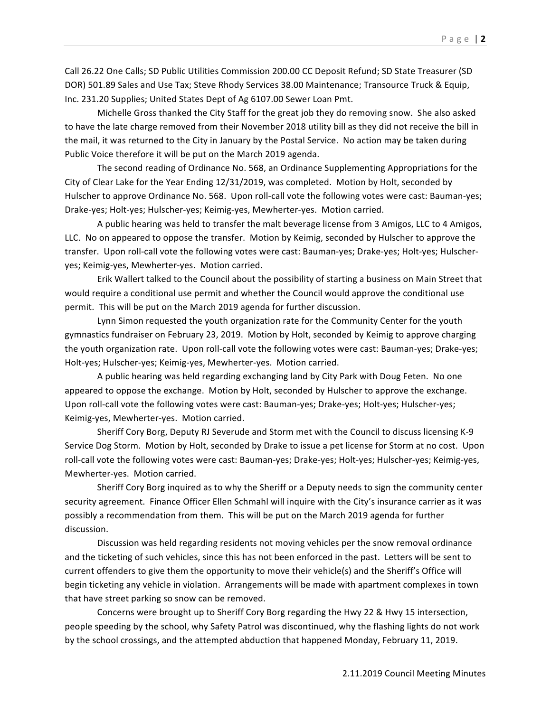Call 26.22 One Calls; SD Public Utilities Commission 200.00 CC Deposit Refund; SD State Treasurer (SD DOR) 501.89 Sales and Use Tax; Steve Rhody Services 38.00 Maintenance; Transource Truck & Equip, Inc. 231.20 Supplies; United States Dept of Ag 6107.00 Sewer Loan Pmt.

Michelle Gross thanked the City Staff for the great job they do removing snow. She also asked to have the late charge removed from their November 2018 utility bill as they did not receive the bill in the mail, it was returned to the City in January by the Postal Service. No action may be taken during Public Voice therefore it will be put on the March 2019 agenda.

The second reading of Ordinance No. 568, an Ordinance Supplementing Appropriations for the City of Clear Lake for the Year Ending 12/31/2019, was completed. Motion by Holt, seconded by Hulscher to approve Ordinance No. 568. Upon roll-call vote the following votes were cast: Bauman-yes; Drake-yes; Holt-yes; Hulscher-yes; Keimig-yes, Mewherter-yes. Motion carried.

A public hearing was held to transfer the malt beverage license from 3 Amigos, LLC to 4 Amigos, LLC. No on appeared to oppose the transfer. Motion by Keimig, seconded by Hulscher to approve the transfer. Upon roll-call vote the following votes were cast: Bauman-yes; Drake-yes; Holt-yes; Hulscheryes; Keimig-yes, Mewherter-yes. Motion carried.

Erik Wallert talked to the Council about the possibility of starting a business on Main Street that would require a conditional use permit and whether the Council would approve the conditional use permit. This will be put on the March 2019 agenda for further discussion.

Lynn Simon requested the youth organization rate for the Community Center for the youth gymnastics fundraiser on February 23, 2019. Motion by Holt, seconded by Keimig to approve charging the youth organization rate. Upon roll-call vote the following votes were cast: Bauman-yes; Drake-yes; Holt-yes; Hulscher-yes; Keimig-yes, Mewherter-yes. Motion carried.

A public hearing was held regarding exchanging land by City Park with Doug Feten. No one appeared to oppose the exchange. Motion by Holt, seconded by Hulscher to approve the exchange. Upon roll-call vote the following votes were cast: Bauman-yes; Drake-yes; Holt-yes; Hulscher-yes; Keimig-yes, Mewherter-yes. Motion carried.

Sheriff Cory Borg, Deputy RJ Severude and Storm met with the Council to discuss licensing K-9 Service Dog Storm. Motion by Holt, seconded by Drake to issue a pet license for Storm at no cost. Upon roll-call vote the following votes were cast: Bauman-yes; Drake-yes; Holt-yes; Hulscher-yes; Keimig-yes, Mewherter-yes. Motion carried.

Sheriff Cory Borg inquired as to why the Sheriff or a Deputy needs to sign the community center security agreement. Finance Officer Ellen Schmahl will inquire with the City's insurance carrier as it was possibly a recommendation from them. This will be put on the March 2019 agenda for further discussion.

Discussion was held regarding residents not moving vehicles per the snow removal ordinance and the ticketing of such vehicles, since this has not been enforced in the past. Letters will be sent to current offenders to give them the opportunity to move their vehicle(s) and the Sheriff's Office will begin ticketing any vehicle in violation. Arrangements will be made with apartment complexes in town that have street parking so snow can be removed.

Concerns were brought up to Sheriff Cory Borg regarding the Hwy 22 & Hwy 15 intersection, people speeding by the school, why Safety Patrol was discontinued, why the flashing lights do not work by the school crossings, and the attempted abduction that happened Monday, February 11, 2019.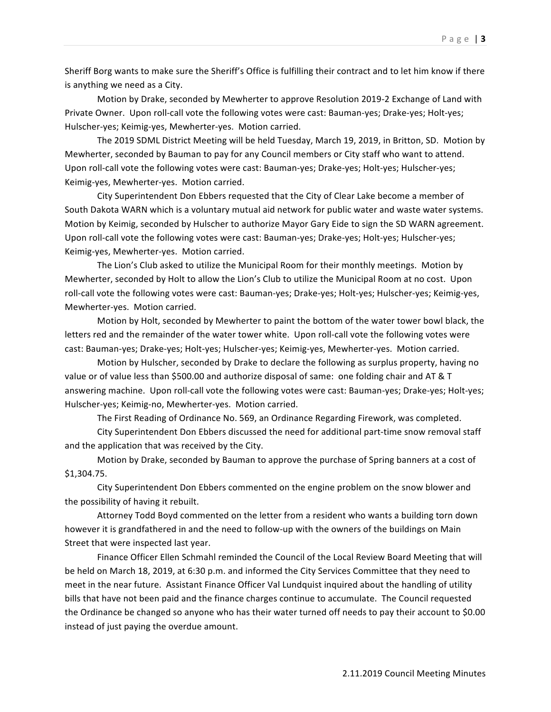Sheriff Borg wants to make sure the Sheriff's Office is fulfilling their contract and to let him know if there is anything we need as a City.

Motion by Drake, seconded by Mewherter to approve Resolution 2019-2 Exchange of Land with Private Owner. Upon roll-call vote the following votes were cast: Bauman-yes; Drake-yes; Holt-yes; Hulscher-yes; Keimig-yes, Mewherter-yes. Motion carried.

The 2019 SDML District Meeting will be held Tuesday, March 19, 2019, in Britton, SD. Motion by Mewherter, seconded by Bauman to pay for any Council members or City staff who want to attend. Upon roll-call vote the following votes were cast: Bauman-yes; Drake-yes; Holt-yes; Hulscher-yes; Keimig-yes, Mewherter-yes. Motion carried.

City Superintendent Don Ebbers requested that the City of Clear Lake become a member of South Dakota WARN which is a voluntary mutual aid network for public water and waste water systems. Motion by Keimig, seconded by Hulscher to authorize Mayor Gary Eide to sign the SD WARN agreement. Upon roll-call vote the following votes were cast: Bauman-yes; Drake-yes; Holt-yes; Hulscher-yes; Keimig-yes, Mewherter-yes. Motion carried.

The Lion's Club asked to utilize the Municipal Room for their monthly meetings. Motion by Mewherter, seconded by Holt to allow the Lion's Club to utilize the Municipal Room at no cost. Upon roll-call vote the following votes were cast: Bauman-yes; Drake-yes; Holt-yes; Hulscher-yes; Keimig-yes, Mewherter-yes. Motion carried.

Motion by Holt, seconded by Mewherter to paint the bottom of the water tower bowl black, the letters red and the remainder of the water tower white. Upon roll-call vote the following votes were cast: Bauman-yes; Drake-yes; Holt-yes; Hulscher-yes; Keimig-yes, Mewherter-yes. Motion carried.

Motion by Hulscher, seconded by Drake to declare the following as surplus property, having no value or of value less than \$500.00 and authorize disposal of same: one folding chair and AT & T answering machine. Upon roll-call vote the following votes were cast: Bauman-yes; Drake-yes; Holt-yes; Hulscher-yes; Keimig-no, Mewherter-yes. Motion carried.

The First Reading of Ordinance No. 569, an Ordinance Regarding Firework, was completed.

City Superintendent Don Ebbers discussed the need for additional part-time snow removal staff and the application that was received by the City.

Motion by Drake, seconded by Bauman to approve the purchase of Spring banners at a cost of \$1,304.75.

City Superintendent Don Ebbers commented on the engine problem on the snow blower and the possibility of having it rebuilt.

Attorney Todd Boyd commented on the letter from a resident who wants a building torn down however it is grandfathered in and the need to follow-up with the owners of the buildings on Main Street that were inspected last year.

Finance Officer Ellen Schmahl reminded the Council of the Local Review Board Meeting that will be held on March 18, 2019, at 6:30 p.m. and informed the City Services Committee that they need to meet in the near future. Assistant Finance Officer Val Lundquist inquired about the handling of utility bills that have not been paid and the finance charges continue to accumulate. The Council requested the Ordinance be changed so anyone who has their water turned off needs to pay their account to \$0.00 instead of just paying the overdue amount.